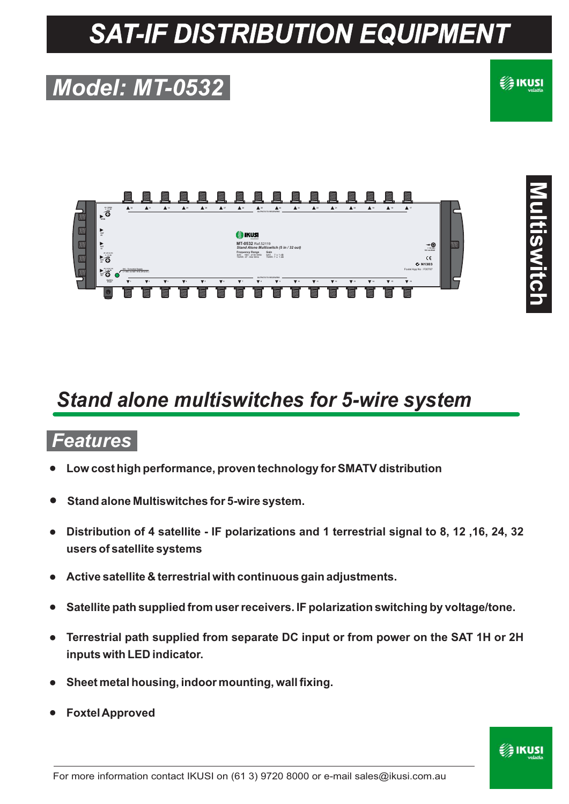# *SAT-IF DISTRIBUTION EQUIPMENT*

## *Model: MT-0532*

### €∕≩ IKUSI



### *Stand alone multiswitches for 5-wire system*

#### *Features*

- Low cost high performance, proven technology for SMATV distribution
- **Stand alone Multiswitches for 5-wire system.**
- **•** Distribution of 4 satellite IF polarizations and 1 terrestrial signal to 8, 12, 16, 24, 32 **users of satellite systems**
- Active satellite & terrestrial with continuous gain adjustments.
- Satellite path supplied from user receivers. IF polarization switching by voltage/tone.
- Terrestrial path supplied from separate DC input or from power on the SAT 1H or 2H **inputs with LED indicator.**
- Sheet metal housing, indoor mounting, wall fixing.
- **Foxtel Approved**